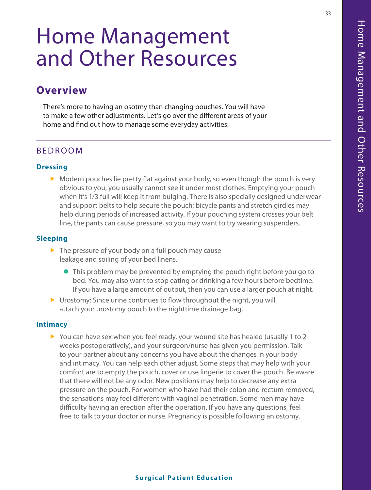# Home Management and Other Resources

# **Overview**

There's more to having an osotmy than changing pouches. You will have to make a few other adjustments. Let's go over the different areas of your home and find out how to manage some everyday activities.

# BEDROOM

#### **Dressing**

 $\triangleright$  Modern pouches lie pretty flat against your body, so even though the pouch is very obvious to you, you usually cannot see it under most clothes. Emptying your pouch when it's 1/3 full will keep it from bulging. There is also specially designed underwear and support belts to help secure the pouch; bicycle pants and stretch girdles may help during periods of increased activity. If your pouching system crosses your belt line, the pants can cause pressure, so you may want to try wearing suspenders.

#### **Sleeping**

- $\blacktriangleright$  The pressure of your body on a full pouch may cause leakage and soiling of your bed linens.
	- This problem may be prevented by emptying the pouch right before you go to bed. You may also want to stop eating or drinking a few hours before bedtime. If you have a large amount of output, then you can use a larger pouch at night.
- $\triangleright$  Urostomy: Since urine continues to flow throughout the night, you will attach your urostomy pouch to the nighttime drainage bag.

#### **Intimacy**

You can have sex when you feel ready, your wound site has healed (usually 1 to 2 weeks postoperatively), and your surgeon/nurse has given you permission. Talk to your partner about any concerns you have about the changes in your body and intimacy. You can help each other adjust. Some steps that may help with your comfort are to empty the pouch, cover or use lingerie to cover the pouch. Be aware that there will not be any odor. New positions may help to decrease any extra pressure on the pouch. For women who have had their colon and rectum removed, the sensations may feel different with vaginal penetration. Some men may have difficulty having an erection after the operation. If you have any questions, feel free to talk to your doctor or nurse. Pregnancy is possible following an ostomy.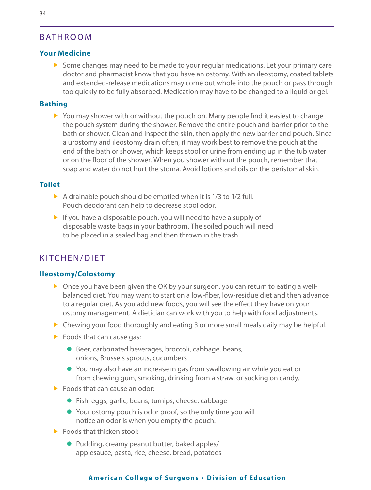# BATHROOM

## **Your Medicine**

 $\triangleright$  Some changes may need to be made to your regular medications. Let your primary care doctor and pharmacist know that you have an ostomy. With an ileostomy, coated tablets and extended-release medications may come out whole into the pouch or pass through too quickly to be fully absorbed. Medication may have to be changed to a liquid or gel.

# **Bathing**

 $\triangleright$  You may shower with or without the pouch on. Many people find it easiest to change the pouch system during the shower. Remove the entire pouch and barrier prior to the bath or shower. Clean and inspect the skin, then apply the new barrier and pouch. Since a urostomy and ileostomy drain often, it may work best to remove the pouch at the end of the bath or shower, which keeps stool or urine from ending up in the tub water or on the floor of the shower. When you shower without the pouch, remember that soap and water do not hurt the stoma. Avoid lotions and oils on the peristomal skin.

## **Toilet**

- $\triangleright$  A drainable pouch should be emptied when it is 1/3 to 1/2 full. Pouch deodorant can help to decrease stool odor.
- $\triangleright$  If you have a disposable pouch, you will need to have a supply of disposable waste bags in your bathroom. The soiled pouch will need to be placed in a sealed bag and then thrown in the trash.

# KITCHEN/DIET

## **Ileostomy/Colostomy**

- $\triangleright$  Once you have been given the OK by your surgeon, you can return to eating a wellbalanced diet. You may want to start on a low-fiber, low-residue diet and then advance to a regular diet. As you add new foods, you will see the effect they have on your ostomy management. A dietician can work with you to help with food adjustments.
- $\triangleright$  Chewing your food thoroughly and eating 3 or more small meals daily may be helpful.
- $\blacktriangleright$  Foods that can cause gas:
	- Beer, carbonated beverages, broccoli, cabbage, beans, onions, Brussels sprouts, cucumbers
	- You may also have an increase in gas from swallowing air while you eat or from chewing gum, smoking, drinking from a straw, or sucking on candy.
- $\blacktriangleright$  Foods that can cause an odor:
	- $\bullet$  Fish, eggs, garlic, beans, turnips, cheese, cabbage
	- Your ostomy pouch is odor proof, so the only time you will notice an odor is when you empty the pouch.
- $\blacktriangleright$  Foods that thicken stool:
	- Pudding, creamy peanut butter, baked apples/ applesauce, pasta, rice, cheese, bread, potatoes

#### **American College of Surgeons . Division of Education**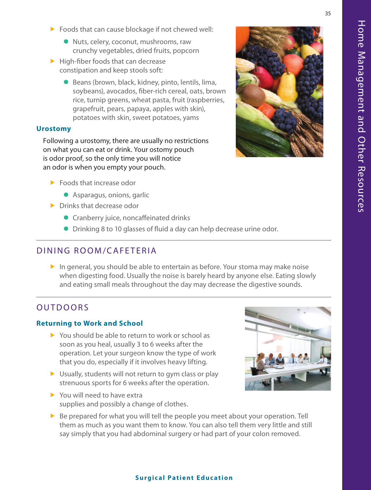- $\triangleright$  Foods that can cause blockage if not chewed well:
	- Nuts, celery, coconut, mushrooms, raw crunchy vegetables, dried fruits, popcorn
- $\blacktriangleright$  High-fiber foods that can decrease constipation and keep stools soft:
	- $\bullet$  Beans (brown, black, kidney, pinto, lentils, lima, soybeans), avocados, fiber-rich cereal, oats, brown rice, turnip greens, wheat pasta, fruit (raspberries, grapefruit, pears, papaya, apples with skin), potatoes with skin, sweet potatoes, yams

#### **Urostomy**

Following a urostomy, there are usually no restrictions on what you can eat or drink. Your ostomy pouch is odor proof, so the only time you will notice an odor is when you empty your pouch.

- $\blacktriangleright$  Foods that increase odor
	- Asparagus, onions, garlic
- $\blacktriangleright$  Drinks that decrease odor
	- **•** Cranberry juice, noncaffeinated drinks
	- Drinking 8 to 10 glasses of fluid a day can help decrease urine odor.

# DINING ROOM/CAFETERIA

 $\blacktriangleright$  In general, you should be able to entertain as before. Your stoma may make noise when digesting food. Usually the noise is barely heard by anyone else. Eating slowly and eating small meals throughout the day may decrease the digestive sounds.

# OUTDOORS

### **Returning to Work and School**

- $\triangleright$  You should be able to return to work or school as soon as you heal, usually 3 to 6 weeks after the operation. Let your surgeon know the type of work that you do, especially if it involves heavy lifting.
- $\triangleright$  Usually, students will not return to gym class or play strenuous sports for 6 weeks after the operation.
- $\blacktriangleright$  You will need to have extra supplies and possibly a change of clothes.
- $\triangleright$  Be prepared for what you will tell the people you meet about your operation. Tell them as much as you want them to know. You can also tell them very little and still say simply that you had abdominal surgery or had part of your colon removed.



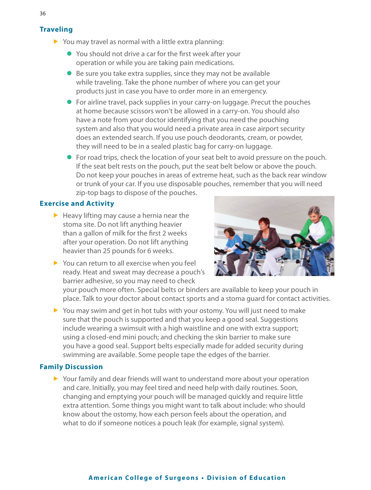### **Traveling**

- $\triangleright$  You may travel as normal with a little extra planning:
	- $\bullet$  You should not drive a car for the first week after your operation or while you are taking pain medications.
	- $\bullet$  Be sure you take extra supplies, since they may not be available while traveling. Take the phone number of where you can get your products just in case you have to order more in an emergency.
	- $\bullet$  For airline travel, pack supplies in your carry-on luggage. Precut the pouches at home because scissors won't be allowed in a carry-on. You should also have a note from your doctor identifying that you need the pouching system and also that you would need a private area in case airport security does an extended search. If you use pouch deodorants, cream, or powder, they will need to be in a sealed plastic bag for carry-on luggage.
	- For road trips, check the location of your seat belt to avoid pressure on the pouch. If the seat belt rests on the pouch, put the seat belt below or above the pouch. Do not keep your pouches in areas of extreme heat, such as the back rear window or trunk of your car. If you use disposable pouches, remember that you will need zip-top bags to dispose of the pouches.

# **Exercise and Activity**

 $\blacktriangleright$  Heavy lifting may cause a hernia near the stoma site. Do not lift anything heavier than a gallon of milk for the first 2 weeks after your operation. Do not lift anything heavier than 25 pounds for 6 weeks.



 $\triangleright$  You can return to all exercise when you feel ready. Heat and sweat may decrease a pouch's barrier adhesive, so you may need to check

your pouch more often. Special belts or binders are available to keep your pouch in place. Talk to your doctor about contact sports and a stoma guard for contact activities.

 $\triangleright$  You may swim and get in hot tubs with your ostomy. You will just need to make sure that the pouch is supported and that you keep a good seal. Suggestions include wearing a swimsuit with a high waistline and one with extra support; using a closed-end mini pouch; and checking the skin barrier to make sure you have a good seal. Support belts especially made for added security during swimming are available. Some people tape the edges of the barrier.

### **Family Discussion**

 $\triangleright$  Your family and dear friends will want to understand more about your operation and care. Initially, you may feel tired and need help with daily routines. Soon, changing and emptying your pouch will be managed quickly and require little extra attention. Some things you might want to talk about include: who should know about the ostomy, how each person feels about the operation, and what to do if someone notices a pouch leak (for example, signal system).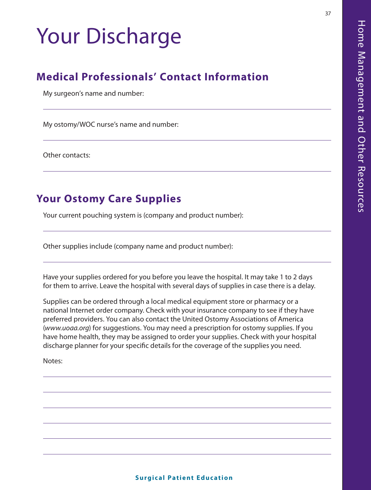# Your Discharge

# **Medical Professionals' Contact Information**

My surgeon's name and number:

My ostomy/WOC nurse's name and number:

Other contacts:

# **Your Ostomy Care Supplies**

Your current pouching system is (company and product number):

Other supplies include (company name and product number):

Have your supplies ordered for you before you leave the hospital. It may take 1 to 2 days for them to arrive. Leave the hospital with several days of supplies in case there is a delay.

Supplies can be ordered through a local medical equipment store or pharmacy or a national Internet order company. Check with your insurance company to see if they have preferred providers. You can also contact the United Ostomy Associations of America (*www.uoaa.org*) for suggestions. You may need a prescription for ostomy supplies. If you have home health, they may be assigned to order your supplies. Check with your hospital discharge planner for your specific details for the coverage of the supplies you need.

Notes: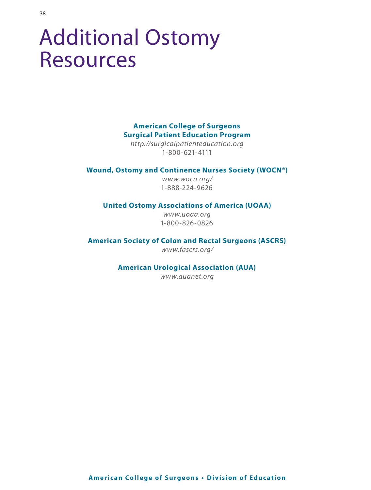# Additional Ostomy Resources

# **American College of Surgeons Surgical Patient Education Program**

*http://surgicalpatienteducation.org*  1-800-621-4111

#### **Wound, Ostomy and Continence Nurses Society (WOCN®)**

*www.wocn.org/*  1-888-224-9626

#### **United Ostomy Associations of America (UOAA)**

*www.uoaa.org*  1-800-826-0826

**American Society of Colon and Rectal Surgeons (ASCRS)** 

*www.fascrs.org/*

#### **American Urological Association (AUA)**

*www.auanet.org*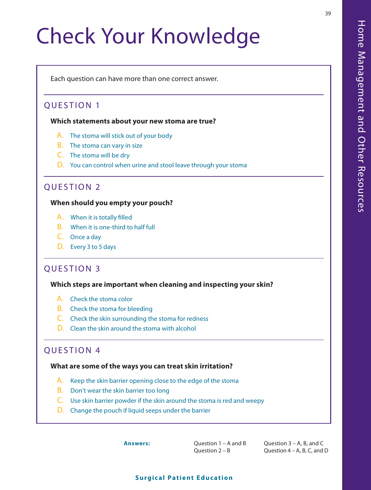# Check Your Knowledge

Each question can have more than one correct answer.

# QUESTION 1

 $39$ 

**Which statements about your new stoma are true?** 

- A. The stoma will stick out of your body
- B. The stoma can vary in size
- C. The stoma will be dry
- D. You can control when urine and stool leave through your stoma

# QUESTION 2

#### **When should you empty your pouch?**

- A. When it is totally filled
- B. When it is one-third to half full
- C. Once a day
- D. Every 3 to 5 days

# QUESTION 3

#### **Which steps are important when cleaning and inspecting your skin?**

- A. Check the stoma color
- B. Check the stoma for bleeding
- C. Check the skin surrounding the stoma for redness
- D. Clean the skin around the stoma with alcohol

# QUESTION 4

#### **What are some of the ways you can treat skin irritation?**

- A. Keep the skin barrier opening close to the edge of the stoma
- B. Don't wear the skin barrier too long
- C. Use skin barrier powder if the skin around the stoma is red and weepy
- D. Change the pouch if liquid seeps under the barrier

**Answers:** Question 1 – A and B Question 2 – B

Question 3 – A, B, and C Question 4 – A, B, C, and D